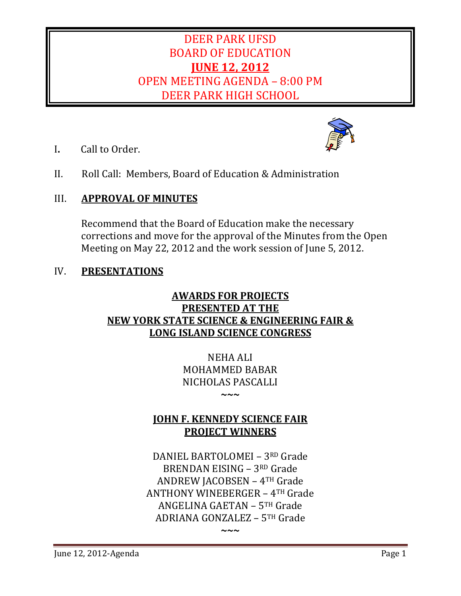# DEER PARK UFSD BOARD OF EDUCATION **JUNE 12, 2012** OPEN MEETING AGENDA - 8:00 PM DEER PARK HIGH SCHOOL

- **I.** Call to Order.
- II. Roll Call: Members, Board of Education & Administration

# III. **APPROVAL OF MINUTES**

Recommend that the Board of Education make the necessary corrections and move for the approval of the Minutes from the Open Meeting on May 22, 2012 and the work session of June 5, 2012.

# IV. **PRESENTATIONS**

# **AWARDS FOR PROJECTS PRESENTED AT THE NEW YORK STATE SCIENCE & ENGINEERING FAIR & LONG ISLAND SCIENCE CONGRESS**

**NEHA ALI** MOHAMMED BABAR NICHOLAS PASCALLI 

**~~~**

**JOHN F. KENNEDY SCIENCE FAIR PROJECT WINNERS**

DANIEL BARTOLOMEI - 3RD Grade BRENDAN EISING  $-3^{RD}$  Grade ANDREW JACOBSEN - 4TH Grade ANTHONY WINEBERGER  $-4$ <sup>TH</sup> Grade ANGELINA GAETAN  $-5$ <sup>TH</sup> Grade ADRIANA GONZALEZ - 5TH Grade

**~~~**

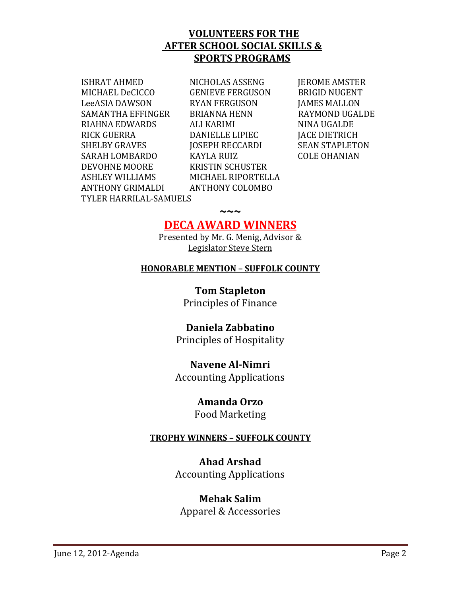## **VOLUNTEERS FOR THE AFTER SCHOOL SOCIAL SKILLS & SPORTS PROGRAMS**

 MICHAEL DeCICCO GENIEVE FERGUSON BRIGID NUGENT LeeASIA DAWSON RYAN FERGUSON JAMES MALLON SAMANTHA EFFINGER BRIANNA HENN RAYMOND UGALDE RIAHNA EDWARDS ALI KARIMI NINA UGALDE RICK GUERRA DANIELLE LIPIEC JACE DIETRICH SHELBY GRAVES **IOSEPH RECCARDI** SEAN STAPLETON SARAH LOMBARDO KAYLA RUIZ COLE OHANIAN DEVOHNE MOORE KRISTIN SCHUSTER ASHLEY WILLIAMS MICHAEL RIPORTELLA ANTHONY GRIMALDI ANTHONY COLOMBO TYLER HARRILAL‐SAMUELS 

ISHRAT AHMED NICHOLAS ASSENG JEROME AMSTER 

# **DECA AWARD WINNERS**

**~~~**

Presented by Mr. G. Menig, Advisor & Legislator Steve Stern

### **HONORABLE MENTION – SUFFOLK COUNTY**

**Tom Stapleton** Principles of Finance

# **Daniela Zabbatino**

Principles of Hospitality

# **Navene Al‐Nimri**

Accounting Applications 

## **Amanda Orzo**

Food Marketing

# **TROPHY WINNERS – SUFFOLK COUNTY**

**Ahad Arshad** Accounting Applications 

# **Mehak Salim**

Apparel & Accessories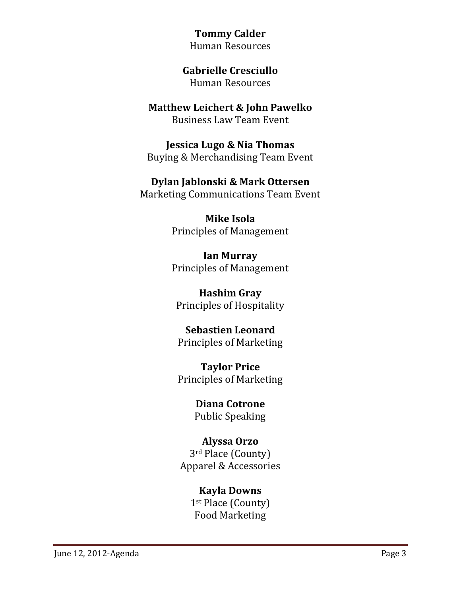**Tommy Calder** Human Resources 

**Gabrielle Cresciullo** Human Resources 

**Matthew Leichert & John Pawelko Business Law Team Event** 

**Jessica Lugo & Nia Thomas** Buying & Merchandising Team Event

**Dylan Jablonski & Mark Ottersen** Marketing Communications Team Event

> **Mike Isola** Principles of Management

> **Ian Murray** Principles of Management

**Hashim Gray** Principles of Hospitality

**Sebastien Leonard** Principles of Marketing 

**Taylor Price** Principles of Marketing 

> **Diana Cotrone** Public Speaking

**Alyssa Orzo** 3<sup>rd</sup> Place (County) Apparel & Accessories 

> **Kayla Downs** 1<sup>st</sup> Place (County) Food Marketing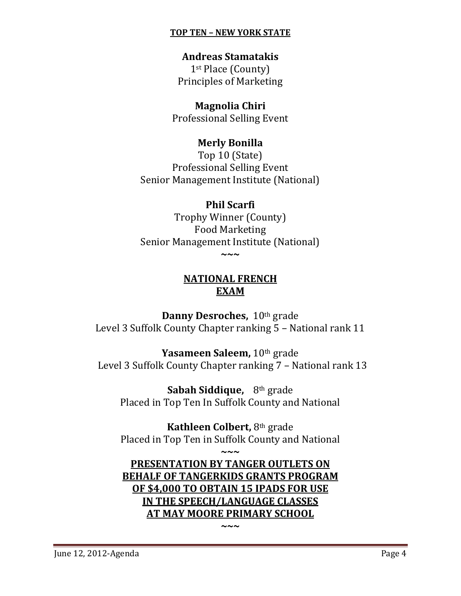### **TOP TEN – NEW YORK STATE**

**Andreas Stamatakis** 1<sup>st</sup> Place (County) Principles of Marketing

**Magnolia Chiri** Professional Selling Event

## **Merly Bonilla**

Top 10 (State) Professional Selling Event Senior Management Institute (National)

## **Phil Scarfi**

Trophy Winner (County) Food Marketing Senior Management Institute (National) **~~~**

# **NATIONAL FRENCH EXAM**

**Danny Desroches,**  $10^{th}$  grade Level 3 Suffolk County Chapter ranking 5 - National rank 11

**Yasameen Saleem,** 10<sup>th</sup> grade Level 3 Suffolk County Chapter ranking 7 - National rank 13

**Sabah Siddique,** 8<sup>th</sup> grade Placed in Top Ten In Suffolk County and National

**Kathleen Colbert, 8th grade** Placed in Top Ten in Suffolk County and National

**~~~**

**PRESENTATION BY TANGER OUTLETS ON BEHALF OF TANGERKIDS GRANTS PROGRAM OF \$4,000 TO OBTAIN 15 IPADS FOR USE IN THE SPEECH/LANGUAGE CLASSES AT MAY MOORE PRIMARY SCHOOL**

**~~~**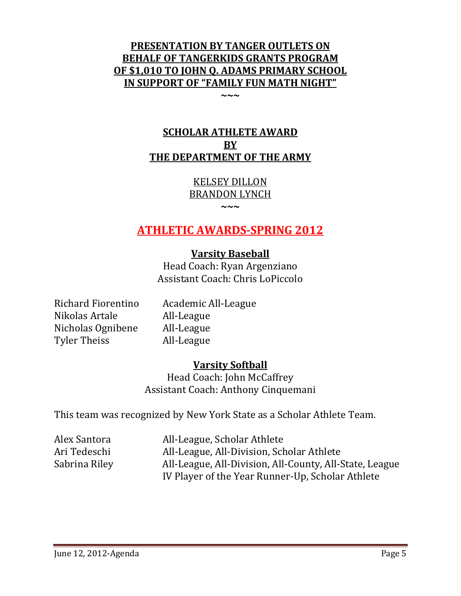# **PRESENTATION BY TANGER OUTLETS ON BEHALF OF TANGERKIDS GRANTS PROGRAM OF \$1,010 TO JOHN Q. ADAMS PRIMARY SCHOOL IN SUPPORT OF "FAMILY FUN MATH NIGHT"**

**~~~**

# **SCHOLAR ATHLETE AWARD BY THE DEPARTMENT OF THE ARMY**

KELSEY DILLON BRANDON LYNCH

**~~~**

# **ATHLETIC AWARDS‐SPRING 2012**

# **Varsity Baseball**

Head Coach: Ryan Argenziano Assistant Coach: Chris LoPiccolo

Nikolas Artale All-League Nicholas Ognibene All-League Tyler Theiss **All-League** 

Richard Fiorentino Academic All-League

# **Varsity Softball**

Head Coach: John McCaffrey Assistant Coach: Anthony Cinquemani

This team was recognized by New York State as a Scholar Athlete Team.

Alex Santora **All**-League, Scholar Athlete Ari Tedeschi All-League, All-Division, Scholar Athlete Sabrina Riley **All**-League, All-Division, All-County, All-State, League IV Player of the Year Runner-Up, Scholar Athlete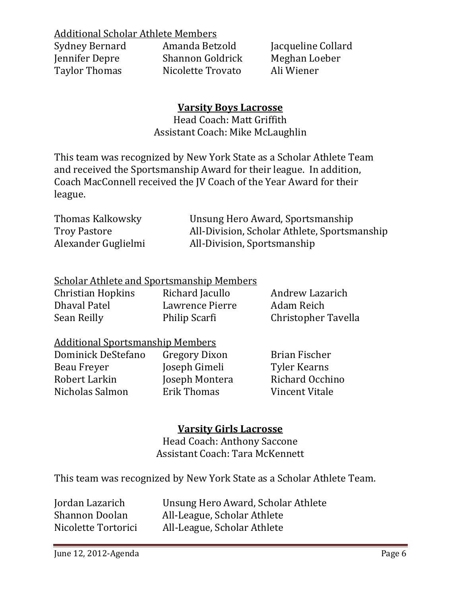**Additional Scholar Athlete Members** 

| Amanda Betzold          | Jacqueline Collard |
|-------------------------|--------------------|
| <b>Shannon Goldrick</b> | Meghan Loeber      |
| Nicolette Trovato       | Ali Wiener         |
|                         |                    |

# **Varsity Boys Lacrosse**

Head Coach: Matt Griffith Assistant Coach: Mike McLaughlin

This team was recognized by New York State as a Scholar Athlete Team and received the Sportsmanship Award for their league. In addition, Coach MacConnell received the JV Coach of the Year Award for their league. 

Thomas Kalkowsky **Changish** Unsung Hero Award, Sportsmanship Troy Pastore **All-Division, Scholar Athlete, Sportsmanship** Alexander Guglielmi All-Division, Sportsmanship

## Scholar Athlete and Sportsmanship Members

Christian Hopkins Richard Jacullo Andrew Lazarich Dhaval Patel **Lawrence Pierre** Adam Reich Sean Reilly **Digitary** Philip Scarfi **Christopher Tavella** 

## **Additional Sportsmanship Members**

| Dominick DeStefano | Gregory Dixon  | Brian Fischer       |
|--------------------|----------------|---------------------|
| Beau Freyer        | Joseph Gimeli  | <b>Tyler Kearns</b> |
| Robert Larkin      | Joseph Montera | Richard Occhino     |
| Nicholas Salmon    | Erik Thomas    | Vincent Vitale      |

# **Varsity Girls Lacrosse**

Head Coach: Anthony Saccone Assistant Coach: Tara McKennett

This team was recognized by New York State as a Scholar Athlete Team.

| Jordan Lazarich       | Unsung Hero Award, Scholar Athlete |
|-----------------------|------------------------------------|
| <b>Shannon Doolan</b> | All-League, Scholar Athlete        |
| Nicolette Tortorici   | All-League, Scholar Athlete        |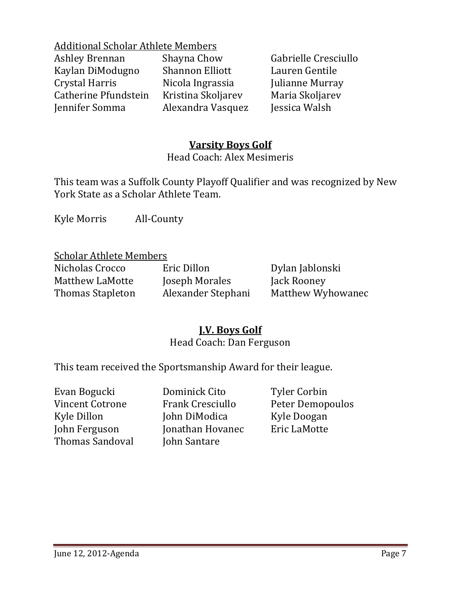**Additional Scholar Athlete Members** 

Ashley Brennan Shayna Chow Gabrielle Cresciullo Kaylan DiModugno Shannon Elliott Lauren Gentile Crystal Harris Nicola Ingrassia Julianne Murray Catherine Pfundstein Kristina Skoljarev Maria Skoljarev Jennifer Somma Alexandra Vasquez Jessica Walsh 

# **Varsity Boys Golf**

Head Coach: Alex Mesimeris

This team was a Suffolk County Playoff Qualifier and was recognized by New York State as a Scholar Athlete Team.

Kyle Morris All-County

### **Scholar Athlete Members**

Matthew LaMotte **Ioseph Morales** Jack Rooney

Nicholas Crocco **Eric Dillon** Dylan Jablonski

Thomas Stapleton Alexander Stephani Matthew Wyhowanec

# **J.V. Boys Golf**

# Head Coach: Dan Ferguson

This team received the Sportsmanship Award for their league.

| Dominick Cito           | <b>Tyler Corbin</b> |
|-------------------------|---------------------|
| <b>Frank Cresciullo</b> | Peter Demopoulos    |
| John DiModica           | Kyle Doogan         |
| Jonathan Hovanec        | Eric LaMotte        |
| John Santare            |                     |
|                         |                     |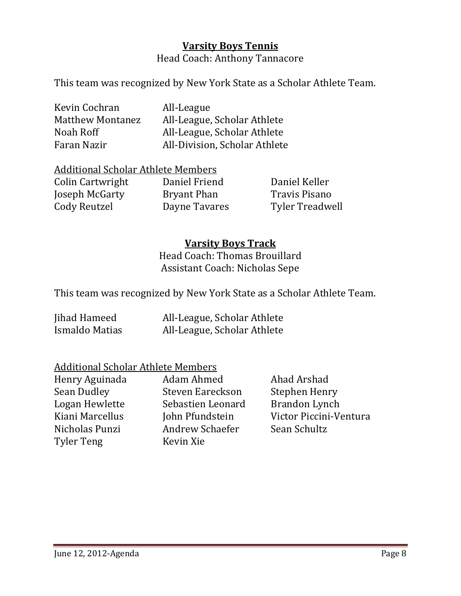# **Varsity Boys Tennis**

Head Coach: Anthony Tannacore

This team was recognized by New York State as a Scholar Athlete Team.

| Kevin Cochran           | All-League                    |
|-------------------------|-------------------------------|
| <b>Matthew Montanez</b> | All-League, Scholar Athlete   |
| Noah Roff               | All-League, Scholar Athlete   |
| Faran Nazir             | All-Division, Scholar Athlete |

### Additional Scholar Athlete Members

Colin Cartwright **Daniel Friend** Daniel Keller **Joseph McGarty Bryant Phan Travis Pisano** Cody Reutzel **Dayne Tavares** Tyler Treadwell

# **Varsity Boys Track**

Head Coach: Thomas Brouillard Assistant Coach: Nicholas Sepe

This team was recognized by New York State as a Scholar Athlete Team.

| Jihad Hameed   | All-League, Scholar Athlete |
|----------------|-----------------------------|
| Ismaldo Matias | All-League, Scholar Athlete |

## Additional Scholar Athlete Members

Henry Aguinada Adam Ahmed Ahad Arshad Sean Dudley Steven Eareckson Stephen Henry Logan Hewlette Sebastien Leonard Brandon Lynch Kiani Marcellus John Pfundstein Victor Piccini-Ventura Nicholas Punzi **Andrew Schaefer** Sean Schultz Tyler Teng **Kevin Xie**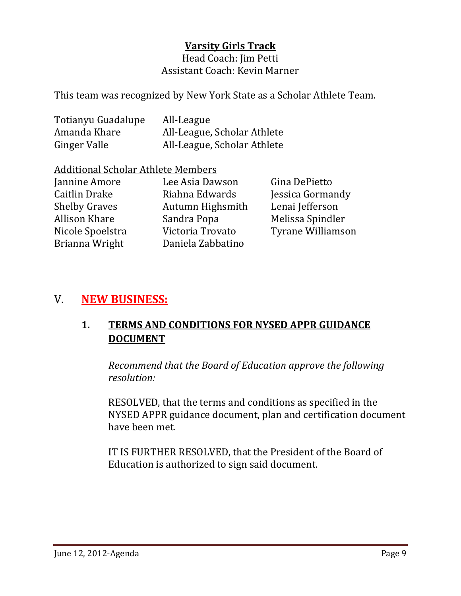# **Varsity Girls Track**

Head Coach: Iim Petti Assistant Coach: Kevin Marner

This team was recognized by New York State as a Scholar Athlete Team.

| Totianyu Guadalupe  | All-League                  |
|---------------------|-----------------------------|
| Amanda Khare        | All-League, Scholar Athlete |
| <b>Ginger Valle</b> | All-League, Scholar Athlete |

### **Additional Scholar Athlete Members**

| Jannine Amore        | Lee Asia Dawson   | Gina DePietto            |
|----------------------|-------------------|--------------------------|
| <b>Caitlin Drake</b> | Riahna Edwards    | Jessica Gormandy         |
| <b>Shelby Graves</b> | Autumn Highsmith  | Lenai Jefferson          |
| Allison Khare        | Sandra Popa       | Melissa Spindler         |
| Nicole Spoelstra     | Victoria Trovato  | <b>Tyrane Williamson</b> |
| Brianna Wright       | Daniela Zabbatino |                          |

# V. **NEW BUSINESS:**

# **1. TERMS AND CONDITIONS FOR NYSED APPR GUIDANCE DOCUMENT**

 *Recommend that the Board of Education approve the following resolution:*

**RESOLVED, that the terms and conditions as specified in the** NYSED APPR guidance document, plan and certification document have been met.

IT IS FURTHER RESOLVED, that the President of the Board of Education is authorized to sign said document.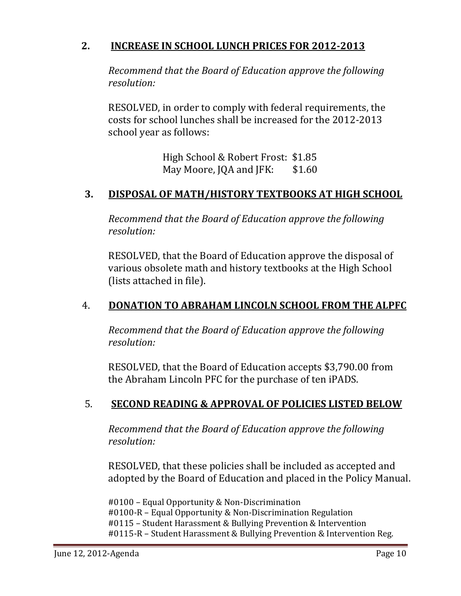# **2. INCREASE IN SCHOOL LUNCH PRICES FOR 2012‐2013**

 *Recommend that the Board of Education approve the following resolution:*

RESOLVED, in order to comply with federal requirements, the costs for school lunches shall be increased for the 2012-2013 school year as follows:

> High School & Robert Frost: \$1.85 May Moore, JQA and JFK: \$1.60

# **3. DISPOSAL OF MATH/HISTORY TEXTBOOKS AT HIGH SCHOOL**

 *Recommend that the Board of Education approve the following resolution:*

RESOLVED, that the Board of Education approve the disposal of various obsolete math and history textbooks at the High School (lists attached in file).

# 4. **DONATION TO ABRAHAM LINCOLN SCHOOL FROM THE ALPFC**

 *Recommend that the Board of Education approve the following resolution:*

**RESOLVED, that the Board of Education accepts \$3,790.00 from** the Abraham Lincoln PFC for the purchase of ten iPADS.

# 5. **SECOND READING & APPROVAL OF POLICIES LISTED BELOW**

 *Recommend that the Board of Education approve the following resolution:*

RESOLVED, that these policies shall be included as accepted and adopted by the Board of Education and placed in the Policy Manual.

#0100 – Equal Opportunity & Non-Discrimination #0100-R – Equal Opportunity & Non-Discrimination Regulation #0115 - Student Harassment & Bullying Prevention & Intervention #0115-R – Student Harassment & Bullying Prevention & Intervention Reg.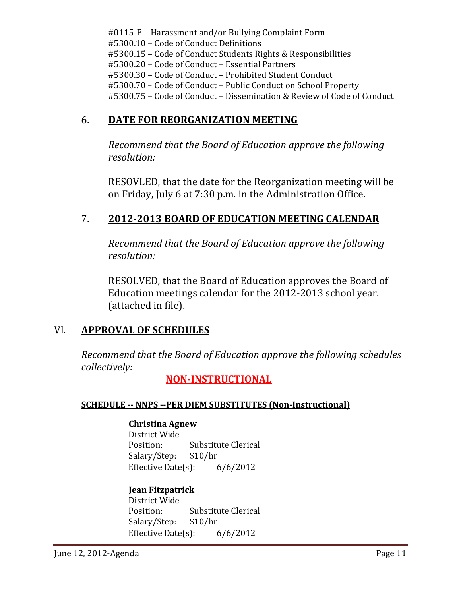#0115-E – Harassment and/or Bullying Complaint Form #5300.10 – Code of Conduct Definitions #5300.15 - Code of Conduct Students Rights & Responsibilities #5300.20 - Code of Conduct - Essential Partners #5300.30 - Code of Conduct - Prohibited Student Conduct #5300.70 - Code of Conduct - Public Conduct on School Property #5300.75 - Code of Conduct - Dissemination & Review of Code of Conduct

# 6. **DATE FOR REORGANIZATION MEETING**

 *Recommend that the Board of Education approve the following resolution:*

RESOVLED, that the date for the Reorganization meeting will be on Friday, July 6 at 7:30 p.m. in the Administration Office.

# 7. **2012‐2013 BOARD OF EDUCATION MEETING CALENDAR**

 *Recommend that the Board of Education approve the following resolution:*

RESOLVED, that the Board of Education approves the Board of Education meetings calendar for the 2012-2013 school year. (attached in file).

# VI. **APPROVAL OF SCHEDULES**

*Recommend that the Board of Education approve the following schedules collectively:* 

 **NON‐INSTRUCTIONAL**

## **SCHEDULE ‐‐ NNPS ‐‐PER DIEM SUBSTITUTES (Non‐Instructional)**

## **Christina Agnew**

District Wide Position: Substitute Clerical Salary/Step: \$10/hr Effective Date(s):  $6/6/2012$ 

## **Jean Fitzpatrick**

District Wide Position: Substitute Clerical Salary/Step: \$10/hr Effective Date(s):  $6/6/2012$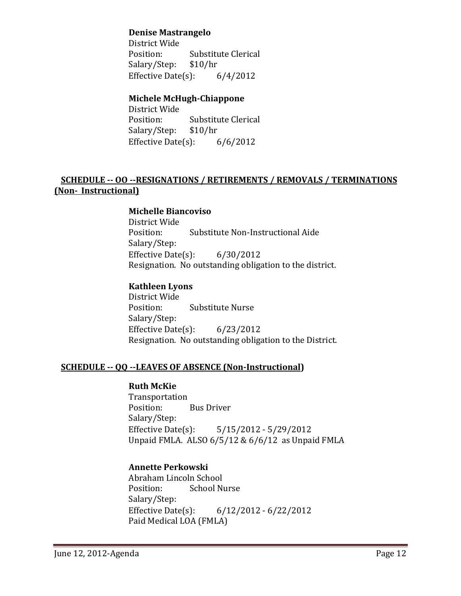#### **Denise Mastrangelo**

District Wide Position: Substitute Clerical Salary/Step: \$10/hr Effective Date(s):  $6/4/2012$ 

### **Michele McHugh‐Chiappone**

District Wide Position: Substitute Clerical Salary/Step: \$10/hr Effective Date(s):  $6/6/2012$ 

### **SCHEDULE ‐‐ OO ‐‐RESIGNATIONS / RETIREMENTS / REMOVALS / TERMINATIONS (Non‐ Instructional)**

#### **Michelle Biancoviso**

District Wide Position: Substitute Non-Instructional Aide Salary/Step: Effective Date(s):  $6/30/2012$ Resignation. No outstanding obligation to the district.

### **Kathleen Lyons**

District Wide Position: Substitute Nurse Salary/Step: Effective Date(s):  $6/23/2012$ Resignation. No outstanding obligation to the District.

#### **SCHEDULE ‐‐ QQ ‐‐LEAVES OF ABSENCE (Non‐Instructional)**

#### **Ruth McKie**

 Transportation Position: Bus Driver Salary/Step: Effective Date(s):  $5/15/2012 - 5/29/2012$ Unpaid FMLA. ALSO  $6/5/12$  &  $6/6/12$  as Unpaid FMLA

#### **Annette Perkowski**

 Abraham Lincoln School Position: School Nurse Salary/Step: Effective Date(s):  $6/12/2012 - 6/22/2012$ Paid Medical LOA (FMLA)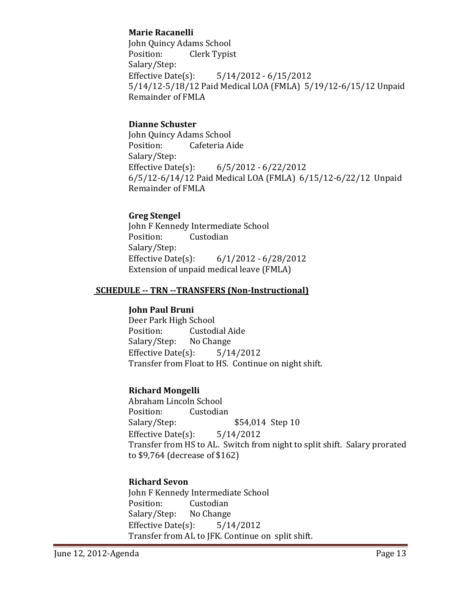### **Marie Racanelli**

John Quincy Adams School Position: Clerk Typist Salary/Step: Effective Date(s):  $5/14/2012 - 6/15/2012$ 5/14/12-5/18/12 Paid Medical LOA (FMLA) 5/19/12-6/15/12 Unpaid Remainder of FMLA

### **Dianne Schuster**

John Quincy Adams School Position: Cafeteria Aide Salary/Step: Effective Date(s):  $6/5/2012 - 6/22/2012$ 6/5/12-6/14/12 Paid Medical LOA (FMLA) 6/15/12-6/22/12 Unpaid Remainder of FMLA

#### **Greg Stengel**

John F Kennedy Intermediate School Position: Custodian Salary/Step: Effective Date(s):  $6/1/2012 - 6/28/2012$ Extension of unpaid medical leave (FMLA)

#### **SCHEDULE** -- TRN --TRANSFERS (Non-Instructional)

#### **John Paul Bruni**

Deer Park High School Position: Custodial Aide Salary/Step: No Change Effective Date(s):  $5/14/2012$ Transfer from Float to HS. Continue on night shift.

#### **Richard Mongelli**

 Abraham Lincoln School Position: Custodian Salary/Step:  $$54,014$  Step 10 Effective Date(s):  $5/14/2012$ Transfer from HS to AL. Switch from night to split shift. Salary prorated to \$9,764 (decrease of \$162)

#### **Richard Sevon**

John F Kennedy Intermediate School Position: Custodian Salary/Step: No Change Effective Date(s):  $5/14/2012$ Transfer from AL to JFK. Continue on split shift.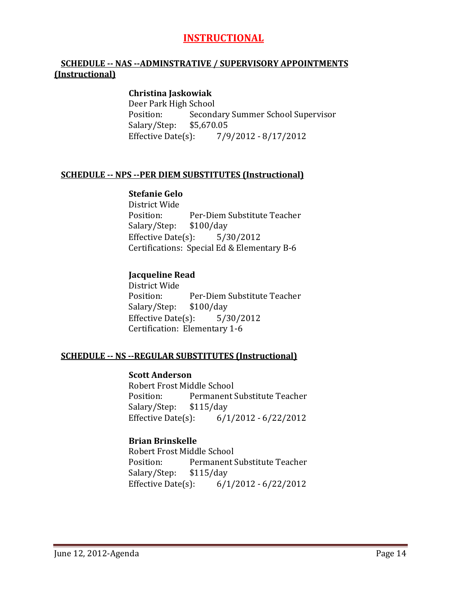## **INSTRUCTIONAL**

#### **SCHEDULE ‐‐ NAS ‐‐ADMINSTRATIVE / SUPERVISORY APPOINTMENTS (Instructional)**

#### **Christina Jaskowiak**

Deer Park High School Position: Secondary Summer School Supervisor Salary/Step: \$5,670.05 Effective Date(s):  $\frac{7}{9}/2012 - \frac{8}{17}/2012$ 

#### **SCHEDULE ‐‐ NPS ‐‐PER DIEM SUBSTITUTES (Instructional)**

#### **Stefanie Gelo**

District Wide Position: Per-Diem Substitute Teacher Salary/Step: \$100/day Effective Date(s):  $5/30/2012$ Certifications: Special Ed & Elementary B-6

#### **Jacqueline Read**

District Wide Position: Per-Diem Substitute Teacher Salary/Step: \$100/day Effective Date(s):  $5/30/2012$ Certification: Elementary 1-6

#### **SCHEDULE ‐‐ NS ‐‐REGULAR SUBSTITUTES (Instructional)**

#### **Scott Anderson**

Robert Frost Middle School Position: Permanent Substitute Teacher Salary/Step: \$115/day Effective Date(s):  $6/1/2012 - 6/22/2012$ 

#### **Brian Brinskelle**

Robert Frost Middle School Position: Permanent Substitute Teacher Salary/Step: \$115/day Effective Date(s):  $6/1/2012 - 6/22/2012$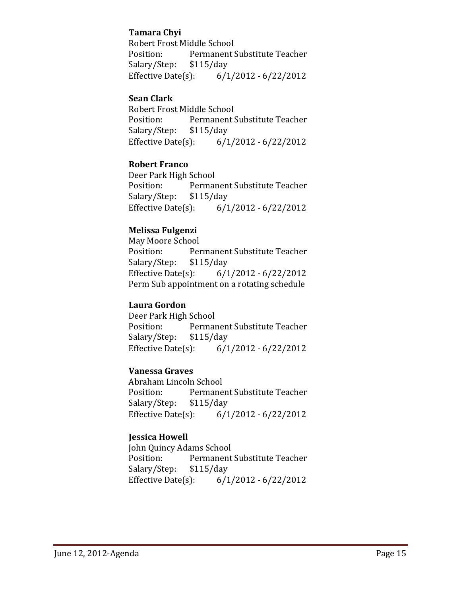### **Tamara Chyi**

Robert Frost Middle School Position: Permanent Substitute Teacher Salary/Step: \$115/day Effective Date(s):  $6/1/2012 - 6/22/2012$ 

#### **Sean Clark**

Robert Frost Middle School Position: Permanent Substitute Teacher Salary/Step: \$115/day Effective Date(s):  $6/1/2012 - 6/22/2012$ 

#### **Robert Franco**

Deer Park High School Position: Permanent Substitute Teacher Salary/Step: \$115/day Effective Date(s):  $6/1/2012 - 6/22/2012$ 

### **Melissa Fulgenzi**

May Moore School Position: Permanent Substitute Teacher Salary/Step: \$115/day Effective Date(s):  $6/1/2012 - 6/22/2012$ Perm Sub appointment on a rotating schedule

#### **Laura Gordon**

Deer Park High School Position: Permanent Substitute Teacher Salary/Step: \$115/day Effective Date(s):  $6/1/2012 - 6/22/2012$ 

### **Vanessa Graves**

 Abraham Lincoln School Position: Permanent Substitute Teacher Salary/Step: \$115/day Effective Date(s):  $6/1/2012 - 6/22/2012$ 

### **Jessica Howell**

 John Quincy Adams School Position: Permanent Substitute Teacher Salary/Step: \$115/day Effective Date(s):  $6/1/2012 - 6/22/2012$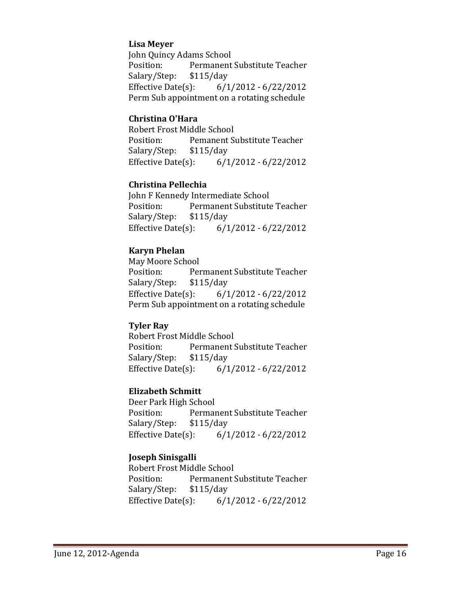#### **Lisa Meyer**

John Quincy Adams School Position: Permanent Substitute Teacher Salary/Step: \$115/day Effective Date(s):  $6/1/2012 - 6/22/2012$ Perm Sub appointment on a rotating schedule

#### **Christina O'Hara**

Robert Frost Middle School Position: Pemanent Substitute Teacher Salary/Step: \$115/day Effective Date(s):  $6/1/2012 - 6/22/2012$ 

#### **Christina Pellechia**

John F Kennedy Intermediate School Position: Permanent Substitute Teacher Salary/Step: \$115/day Effective Date(s):  $6/1/2012 - 6/22/2012$ 

#### **Karyn Phelan**

May Moore School Position: Permanent Substitute Teacher Salary/Step: \$115/day Effective Date(s):  $6/1/2012 - 6/22/2012$ Perm Sub appointment on a rotating schedule

#### **Tyler Ray**

Robert Frost Middle School Position: Permanent Substitute Teacher Salary/Step: \$115/day Effective Date(s):  $6/1/2012 - 6/22/2012$ 

### **Elizabeth Schmitt**

Deer Park High School Position: Permanent Substitute Teacher Salary/Step: \$115/day Effective Date(s):  $6/1/2012 - 6/22/2012$ 

### **Joseph Sinisgalli**

Robert Frost Middle School Position: Permanent Substitute Teacher Salary/Step: \$115/day Effective Date(s):  $6/1/2012 - 6/22/2012$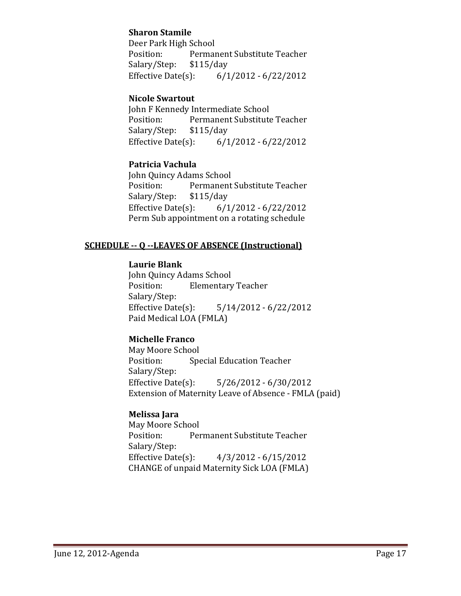### **Sharon Stamile**

Deer Park High School Position: Permanent Substitute Teacher Salary/Step: \$115/day Effective Date(s):  $6/1/2012 - 6/22/2012$ 

#### **Nicole Swartout**

John F Kennedy Intermediate School Position: Permanent Substitute Teacher Salary/Step: \$115/day Effective Date(s):  $6/1/2012 - 6/22/2012$ 

#### **Patricia Vachula**

John Quincy Adams School Position: Permanent Substitute Teacher Salary/Step: \$115/day Effective Date(s):  $6/1/2012 - 6/22/2012$ Perm Sub appointment on a rotating schedule

#### **SCHEDULE ‐‐ Q ‐‐LEAVES OF ABSENCE (Instructional)**

#### **Laurie Blank**

John Quincy Adams School Position: Elementary Teacher Salary/Step: Effective Date(s):  $5/14/2012 - 6/22/2012$ Paid Medical LOA (FMLA)

#### **Michelle Franco**

May Moore School Position: Special Education Teacher Salary/Step: Effective Date(s):  $5/26/2012 - 6/30/2012$ Extension of Maternity Leave of Absence - FMLA (paid)

#### **Melissa Jara**

May Moore School Position: Permanent Substitute Teacher Salary/Step: Effective Date(s):  $4/3/2012 - 6/15/2012$ CHANGE of unpaid Maternity Sick LOA (FMLA)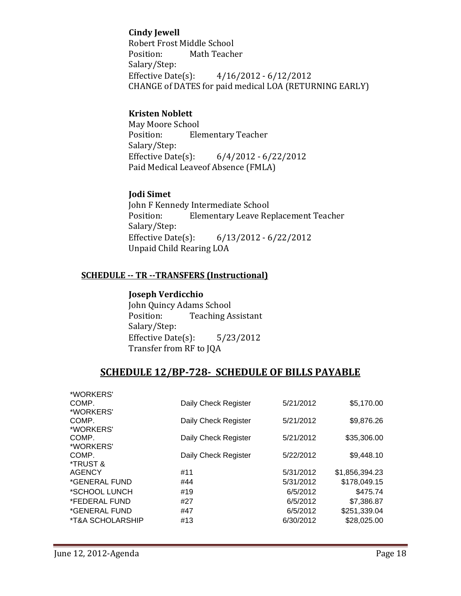### **Cindy Jewell**

Robert Frost Middle School Position: Math Teacher Salary/Step: Effective Date(s):  $4/16/2012 - 6/12/2012$ CHANGE of DATES for paid medical LOA (RETURNING EARLY)

### **Kristen Noblett**

May Moore School Position: Elementary Teacher Salary/Step: Effective Date(s):  $6/4/2012 - 6/22/2012$ Paid Medical Leaveof Absence (FMLA)

#### **Jodi Simet**

John F Kennedy Intermediate School Position: Elementary Leave Replacement Teacher Salary/Step: Effective Date(s):  $6/13/2012 - 6/22/2012$ Unpaid Child Rearing LOA

#### **SCHEDULE ‐‐ TR ‐‐TRANSFERS (Instructional)**

#### **Joseph Verdicchio**

John Quincy Adams School Position: Teaching Assistant Salary/Step: Effective Date(s):  $5/23/2012$ Transfer from RF to JQA

## **SCHEDULE 12/BP‐728‐ SCHEDULE OF BILLS PAYABLE**

| *WORKERS'                          |                      |           |                |
|------------------------------------|----------------------|-----------|----------------|
| COMP.                              | Daily Check Register | 5/21/2012 | \$5,170.00     |
| *WORKERS'                          |                      |           |                |
| COMP.                              | Daily Check Register | 5/21/2012 | \$9,876.26     |
| *WORKERS'                          |                      |           |                |
| COMP.                              | Daily Check Register | 5/21/2012 | \$35,306.00    |
| *WORKERS'                          |                      |           |                |
| COMP.                              | Daily Check Register | 5/22/2012 | \$9,448.10     |
| *TRUST &                           |                      |           |                |
| <b>AGENCY</b>                      | #11                  | 5/31/2012 | \$1,856,394.23 |
| *GENERAL FUND                      | #44                  | 5/31/2012 | \$178,049.15   |
| *SCHOOL LUNCH                      | #19                  | 6/5/2012  | \$475.74       |
| *FEDERAL FUND                      | #27                  | 6/5/2012  | \$7,386.87     |
| *GENERAL FUND                      | #47                  | 6/5/2012  | \$251,339.04   |
| <i><b>*T&amp;A SCHOLARSHIP</b></i> | #13                  | 6/30/2012 | \$28,025.00    |
|                                    |                      |           |                |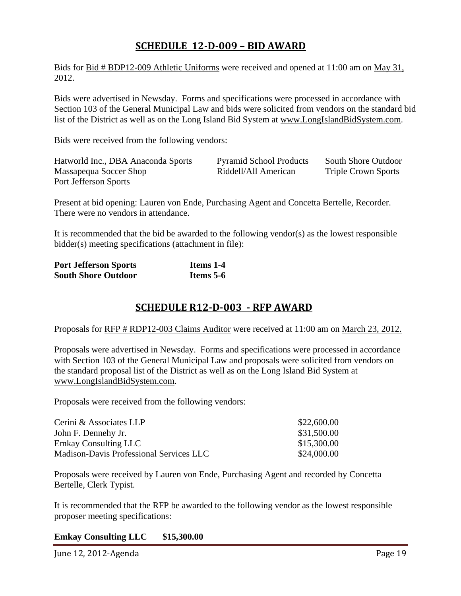# **SCHEDULE 12‐D‐009 – BID AWARD**

Bids for Bid # BDP12-009 Athletic Uniforms were received and opened at 11:00 am on May 31, 2012.

Bids were advertised in Newsday. Forms and specifications were processed in accordance with Section 103 of the General Municipal Law and bids were solicited from vendors on the standard bid list of the District as well as on the Long Island Bid System at www.LongIslandBidSystem.com.

Bids were received from the following vendors:

| Hatworld Inc., DBA Anaconda Sports | <b>Pyramid School Products</b> | South Shore Outdoor        |
|------------------------------------|--------------------------------|----------------------------|
| Massapequa Soccer Shop             | Riddell/All American           | <b>Triple Crown Sports</b> |
| Port Jefferson Sports              |                                |                            |

Present at bid opening: Lauren von Ende, Purchasing Agent and Concetta Bertelle, Recorder. There were no vendors in attendance.

It is recommended that the bid be awarded to the following vendor(s) as the lowest responsible bidder(s) meeting specifications (attachment in file):

| <b>Port Jefferson Sports</b> | Items 1-4 |
|------------------------------|-----------|
| <b>South Shore Outdoor</b>   | Items 5-6 |

# **SCHEDULE R12‐D‐003 ‐ RFP AWARD**

Proposals for RFP # RDP12-003 Claims Auditor were received at 11:00 am on March 23, 2012.

Proposals were advertised in Newsday. Forms and specifications were processed in accordance with Section 103 of the General Municipal Law and proposals were solicited from vendors on the standard proposal list of the District as well as on the Long Island Bid System at www.LongIslandBidSystem.com.

Proposals were received from the following vendors:

| Cerini & Associates LLP                        | \$22,600.00 |
|------------------------------------------------|-------------|
| John F. Dennehy Jr.                            | \$31,500.00 |
| <b>Emkay Consulting LLC</b>                    | \$15,300.00 |
| <b>Madison-Davis Professional Services LLC</b> | \$24,000.00 |

Proposals were received by Lauren von Ende, Purchasing Agent and recorded by Concetta Bertelle, Clerk Typist.

It is recommended that the RFP be awarded to the following vendor as the lowest responsible proposer meeting specifications:

#### **Emkay Consulting LLC \$15,300.00**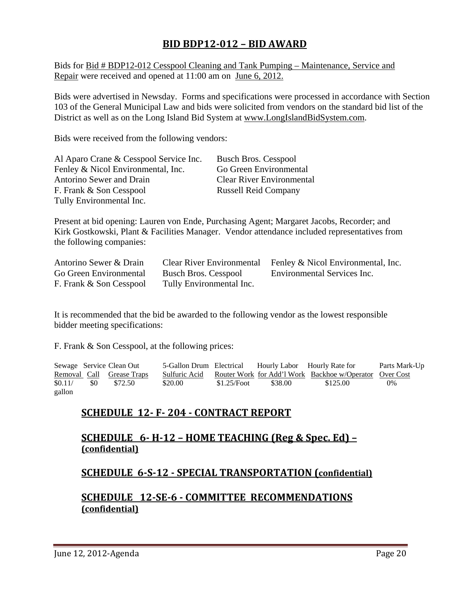## **BID BDP12‐012 – BID AWARD**

Bids for Bid # BDP12-012 Cesspool Cleaning and Tank Pumping – Maintenance, Service and Repair were received and opened at 11:00 am on June 6, 2012.

Bids were advertised in Newsday. Forms and specifications were processed in accordance with Section 103 of the General Municipal Law and bids were solicited from vendors on the standard bid list of the District as well as on the Long Island Bid System at www.LongIslandBidSystem.com.

Bids were received from the following vendors:

| Al Aparo Crane & Cesspool Service Inc. | <b>Busch Bros. Cesspool</b>      |
|----------------------------------------|----------------------------------|
| Fenley & Nicol Environmental, Inc.     | Go Green Environmental           |
| Antorino Sewer and Drain               | <b>Clear River Environmental</b> |
| F. Frank & Son Cesspool                | <b>Russell Reid Company</b>      |
| Tully Environmental Inc.               |                                  |

Present at bid opening: Lauren von Ende, Purchasing Agent; Margaret Jacobs, Recorder; and Kirk Gostkowski, Plant & Facilities Manager. Vendor attendance included representatives from the following companies:

| Antorino Sewer & Drain  |                             | Clear River Environmental Fenley & Nicol Environmental, Inc. |
|-------------------------|-----------------------------|--------------------------------------------------------------|
| Go Green Environmental  | <b>Busch Bros. Cesspool</b> | Environmental Services Inc.                                  |
| F. Frank & Son Cesspool | Tully Environmental Inc.    |                                                              |

It is recommended that the bid be awarded to the following vendor as the lowest responsible bidder meeting specifications:

F. Frank & Son Cesspool, at the following prices:

Sewage Service Clean Out 5-Gallon Drum Electrical Hourly Labor Hourly Rate for Parts Mark-Up Removal Call Grease Traps Sulfuric Acid Router Work for Add'l Work Backhoe w/Operator Over Cost \$0.11/ \$0 \$72.50 \$20.00 \$1.25/Foot \$38.00 \$125.00 0% gallon

## **SCHEDULE 12‐ F‐ 204 ‐ CONTRACT REPORT**

### **SCHEDULE 6·H**<sub>·</sub>**12 – HOME TEACHING (Reg & Spec. Ed**) – **(confidential)**

### **SCHEDULE 6‐S‐12 ‐ SPECIAL TRANSPORTATION (confidential)**

### **SCHEDULE 12‐SE‐6 ‐ COMMITTEE RECOMMENDATIONS (confidential)**